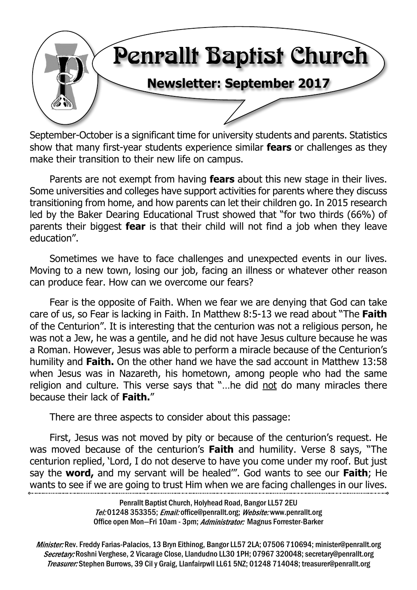

September-October is a significant time for university students and parents. Statistics show that many first-year students experience similar **fears** or challenges as they make their transition to their new life on campus.

Parents are not exempt from having **fears** about this new stage in their lives. Some universities and colleges have support activities for parents where they discuss transitioning from home, and how parents can let their children go. In 2015 research led by the Baker Dearing Educational Trust showed that "for two thirds (66%) of parents their biggest **fear** is that their child will not find a job when they leave education".

Sometimes we have to face challenges and unexpected events in our lives. Moving to a new town, losing our job, facing an illness or whatever other reason can produce fear. How can we overcome our fears?

Fear is the opposite of Faith. When we fear we are denying that God can take care of us, so Fear is lacking in Faith. In Matthew 8:5-13 we read about "The **Faith** of the Centurion". It is interesting that the centurion was not a religious person, he was not a Jew, he was a gentile, and he did not have Jesus culture because he was a Roman. However, Jesus was able to perform a miracle because of the Centurion's humility and **Faith.** On the other hand we have the sad account in Matthew 13:58 when Jesus was in Nazareth, his hometown, among people who had the same religion and culture. This verse says that "...he did not do many miracles there because their lack of **Faith.**"

There are three aspects to consider about this passage:

First, Jesus was not moved by pity or because of the centurion's request. He was moved because of the centurion's **Faith** and humility. Verse 8 says, "The centurion replied, 'Lord, I do not deserve to have you come under my roof. But just say the **word,** and my servant will be healed'". God wants to see our **Faith**; He wants to see if we are going to trust Him when we are facing challenges in our lives.

> Penrallt Baptist Church, Holyhead Road, Bangor LL57 2EU Tel:01248 353355; Email: office@penrallt.org; Website: www.penrallt.org Office open Mon-Fri 10am - 3pm; Administrator: Magnus Forrester-Barker

Minister: Rev. Freddy Farias-Palacios, 13 Bryn Eithinog, Bangor LL57 2LA; 07506 710694; minister@penrallt.org Secretary: Roshni Verghese, 2 Vicarage Close, Llandudno LL30 1PH; 07967 320048; secretary@penrallt.org Treasurer: Stephen Burrows, 39 Cil y Graig, Llanfairpwll LL61 5NZ; 01248 714048; treasurer@penrallt.org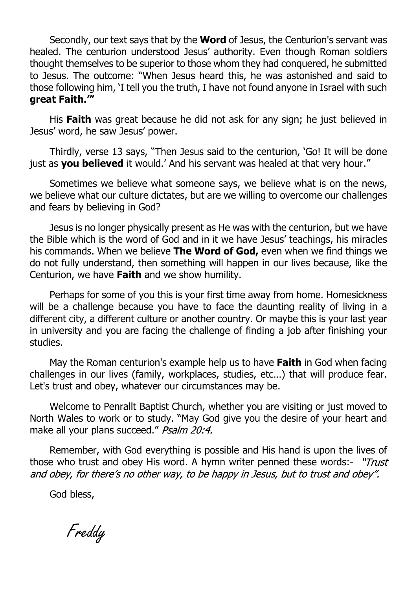Secondly, our text says that by the **Word** of Jesus, the Centurion's servant was healed. The centurion understood Jesus' authority. Even though Roman soldiers thought themselves to be superior to those whom they had conquered, he submitted to Jesus. The outcome: "When Jesus heard this, he was astonished and said to those following him, 'I tell you the truth, I have not found anyone in Israel with such **great Faith.'"**

His **Faith** was great because he did not ask for any sign; he just believed in Jesus' word, he saw Jesus' power.

Thirdly, verse 13 says, "Then Jesus said to the centurion, 'Go! It will be done just as you believed it would.' And his servant was healed at that very hour."

Sometimes we believe what someone says, we believe what is on the news, we believe what our culture dictates, but are we willing to overcome our challenges and fears by believing in God?

Jesus is no longer physically present as He was with the centurion, but we have the Bible which is the word of God and in it we have Jesus' teachings, his miracles his commands. When we believe **The Word of God,** even when we find things we do not fully understand, then something will happen in our lives because, like the Centurion, we have **Faith** and we show humility.

Perhaps for some of you this is your first time away from home. Homesickness will be a challenge because you have to face the daunting reality of living in a different city, a different culture or another country. Or maybe this is your last year in university and you are facing the challenge of finding a job after finishing your studies.

May the Roman centurion's example help us to have **Faith** in God when facing challenges in our lives (family, workplaces, studies, etc…) that will produce fear. Let's trust and obey, whatever our circumstances may be.

Welcome to Penrallt Baptist Church, whether you are visiting or just moved to North Wales to work or to study. "May God give you the desire of your heart and make all your plans succeed." Psalm 20:4.

Remember, with God everything is possible and His hand is upon the lives of those who trust and obey His word. A hymn writer penned these words:- "Trust and obey, for there's no other way, to be happy in Jesus, but to trust and obey".

God bless,

Freddy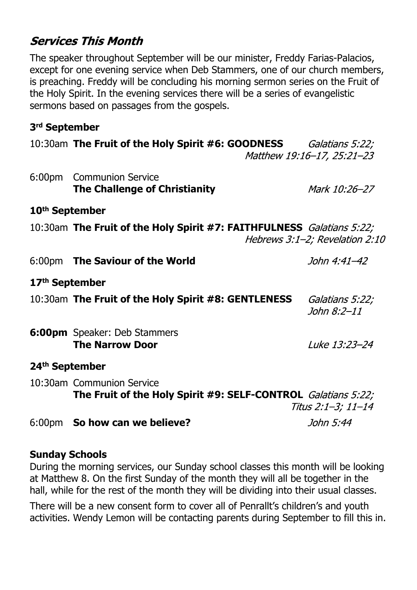#### **Services This Month**

The speaker throughout September will be our minister, Freddy Farias-Palacios, except for one evening service when Deb Stammers, one of our church members, is preaching. Freddy will be concluding his morning sermon series on the Fruit of the Holy Spirit. In the evening services there will be a series of evangelistic sermons based on passages from the gospels.

#### **3rd September**

|                            | 10:30am The Fruit of the Holy Spirit #6: GOODNESS Galatians 5:22;                          | Matthew 19:16-17, 25:21-23     |
|----------------------------|--------------------------------------------------------------------------------------------|--------------------------------|
| 6:00 <sub>pm</sub>         | <b>Communion Service</b><br><b>The Challenge of Christianity</b>                           | Mark 10:26-27                  |
| 10 <sup>th</sup> September |                                                                                            |                                |
|                            | 10:30am The Fruit of the Holy Spirit #7: FAITHFULNESS Galatians 5:22;                      | Hebrews 3:1-2; Revelation 2:10 |
|                            | 6:00pm The Saviour of the World                                                            | John 4:41-42                   |
| 17 <sup>th</sup> September |                                                                                            |                                |
|                            | 10:30am The Fruit of the Holy Spirit #8: GENTLENESS                                        | Galatians 5:22;<br>John 8:2-11 |
|                            | 6:00pm Speaker: Deb Stammers<br><b>The Narrow Door</b>                                     | Luke 13:23-24                  |
| 24 <sup>th</sup> September |                                                                                            |                                |
|                            | 10:30am Communion Service<br>The Fruit of the Holy Spirit #9: SELF-CONTROL Galatians 5:22; | Titus 2:1–3; 11–14             |
|                            | 6:00pm So how can we believe?                                                              | John 5:44                      |

#### **Sunday Schools**

During the morning services, our Sunday school classes this month will be looking at Matthew 8. On the first Sunday of the month they will all be together in the hall, while for the rest of the month they will be dividing into their usual classes.

There will be a new consent form to cover all of Penrallt's children's and youth activities. Wendy Lemon will be contacting parents during September to fill this in.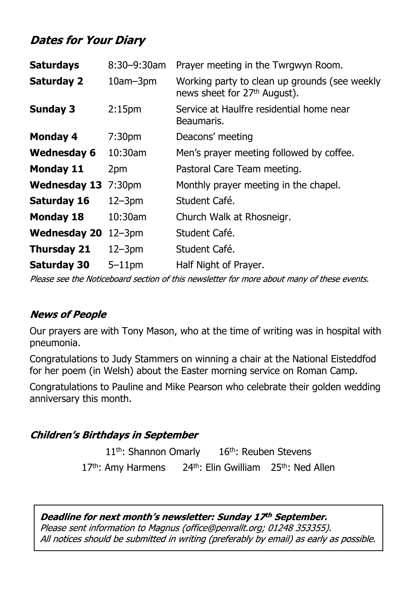### **Dates for Your Diary**

| <b>Saturdays</b>    | $8:30 - 9:30$ am   | Prayer meeting in the Twrgwyn Room.                                                       |
|---------------------|--------------------|-------------------------------------------------------------------------------------------|
| <b>Saturday 2</b>   | $10am - 3pm$       | Working party to clean up grounds (see weekly<br>news sheet for 27 <sup>th</sup> August). |
| <b>Sunday 3</b>     | 2:15 <sub>pm</sub> | Service at Haulfre residential home near<br>Beaumaris.                                    |
| <b>Monday 4</b>     | 7:30 <sub>pm</sub> | Deacons' meeting                                                                          |
| <b>Wednesday 6</b>  | 10:30am            | Men's prayer meeting followed by coffee.                                                  |
| <b>Monday 11</b>    | 2pm                | Pastoral Care Team meeting.                                                               |
| <b>Wednesday 13</b> | 7:30 <sub>pm</sub> | Monthly prayer meeting in the chapel.                                                     |
| Saturday 16         | $12 - 3pm$         | Student Café.                                                                             |
| <b>Monday 18</b>    | 10:30am            | Church Walk at Rhosneigr.                                                                 |
| <b>Wednesday 20</b> | $12 - 3pm$         | Student Café.                                                                             |
| <b>Thursday 21</b>  | $12 - 3pm$         | Student Café.                                                                             |
| <b>Saturday 30</b>  | $5 - 11$ pm        | Half Night of Prayer.                                                                     |

Please see the Noticeboard section of this newsletter for more about many of these events.

#### **News of People**

Our prayers are with Tony Mason, who at the time of writing was in hospital with pneumonia.

Congratulations to Judy Stammers on winning a chair at the National Eisteddfod for her poem (in Welsh) about the Easter morning service on Roman Camp.

Congratulations to Pauline and Mike Pearson who celebrate their golden wedding anniversary this month.

#### **Children's Birthdays in September**

11<sup>th</sup>: Shannon Omarly 16<sup>th</sup>: Reuben Stevens 17<sup>th</sup>: Amy Harmens 24<sup>th</sup>: Elin Gwilliam 25<sup>th</sup>: Ned Allen

Deadline for next month's newsletter: Sunday 17th September. Please sent information to Magnus (office@penrallt.org; 01248 353355). All notices should be submitted in writing (preferably by email) as early as possible.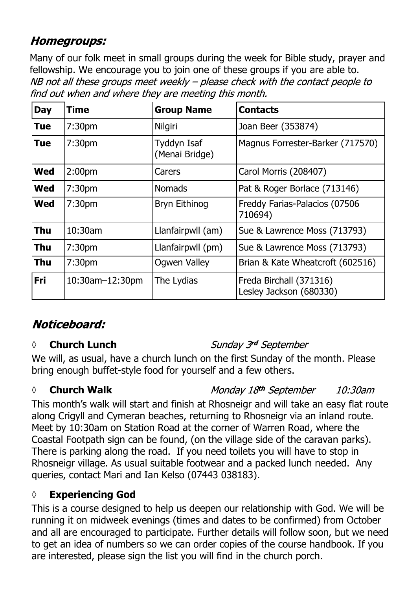#### **Homegroups:**

Many of our folk meet in small groups during the week for Bible study, prayer and fellowship. We encourage you to join one of these groups if you are able to.<br>NB not all these groups meet weekly – please check with the contact people to find out when and where they are meeting this month.

| <b>Day</b> | <b>Time</b>        | <b>Group Name</b>             | <b>Contacts</b>                                    |
|------------|--------------------|-------------------------------|----------------------------------------------------|
| <b>Tue</b> | 7:30 <sub>pm</sub> | <b>Nilgiri</b>                | Joan Beer (353874)                                 |
| <b>Tue</b> | 7:30pm             | Tyddyn Isaf<br>(Menai Bridge) | Magnus Forrester-Barker (717570)                   |
| <b>Wed</b> | 2:00 <sub>pm</sub> | Carers                        | Carol Morris (208407)                              |
| <b>Wed</b> | 7:30 <sub>pm</sub> | <b>Nomads</b>                 | Pat & Roger Borlace (713146)                       |
| <b>Wed</b> | 7:30 <sub>pm</sub> | Bryn Eithinog                 | Freddy Farias-Palacios (07506<br>710694)           |
| Thu        | $10:30$ am         | Llanfairpwll (am)             | Sue & Lawrence Moss (713793)                       |
| <b>Thu</b> | 7:30 <sub>pm</sub> | Llanfairpwll (pm)             | Sue & Lawrence Moss (713793)                       |
| <b>Thu</b> | 7:30 <sub>pm</sub> | Ogwen Valley                  | Brian & Kate Wheatcroft (602516)                   |
| <b>Fri</b> | 10:30am-12:30pm    | The Lydias                    | Freda Birchall (371316)<br>Lesley Jackson (680330) |

## Noticeboard:

#### *◊* **Church Lunch**

#### Sunday 3rd September

We will, as usual, have a church lunch on the first Sunday of the month. Please bring enough buffet-style food for yourself and a few others.

#### *◊* **Church Walk**

Monday 18th September 10:30am

This month's walk will start and finish at Rhosneigr and will take an easy flat route along Crigyll and Cymeran beaches, returning to Rhosneigr via an inland route. Meet by 10:30am on Station Road at the corner of Warren Road, where the Coastal Footpath sign can be found, (on the village side of the caravan parks). There is parking along the road. If you need toilets you will have to stop in Rhosneigr village. As usual suitable footwear and a packed lunch needed. Any queries, contact Mari and Ian Kelso (07443 038183).

#### **◊ Experiencing God**

This is a course designed to help us deepen our relationship with God. We will be running it on midweek evenings (times and dates to be confirmed) from October and all are encouraged to participate. Further details will follow soon, but we need to get an idea of numbers so we can order copies of the course handbook. If you are interested, please sign the list you will find in the church porch.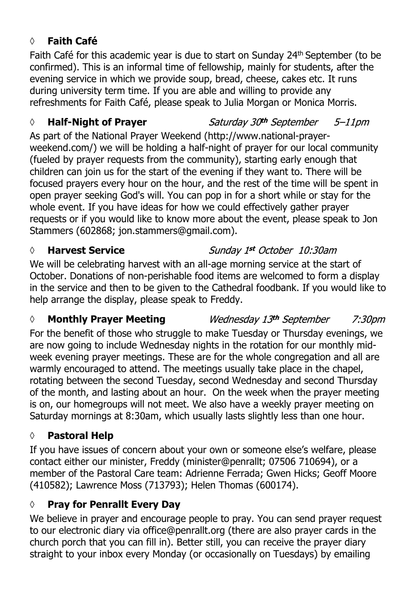#### **◊ Faith Café**

Faith Café for this academic year is due to start on Sunday 24th September (to be confirmed). This is an informal time of fellowship, mainly for students, after the evening service in which we provide soup, bread, cheese, cakes etc. It runs during university term time. If you are able and willing to provide any refreshments for Faith Café, please speak to Julia Morgan or Monica Morris.

#### *◊* **Half-Night of Prayer**

As part of the National Prayer Weekend (http://www.national-prayerweekend.com/) we will be holding a half-night of prayer for our local community (fueled by prayer requests from the community), starting early enough that children can join us for the start of the evening if they want to. There will be focused prayers every hour on the hour, and the rest of the time will be spent in open prayer seeking God's will. You can pop in for a short while or stay for the whole event. If you have ideas for how we could effectively gather prayer requests or if you would like to know more about the event, please speak to Jon Stammers (602868; jon.stammers@gmail.com).

#### *◊* **Harvest Service**

#### Sunday 1st October 10:30am

Saturday 30th September

 $5 - 11$ pm

We will be celebrating harvest with an all-age morning service at the start of October. Donations of non-perishable food items are welcomed to form a display in the service and then to be given to the Cathedral foodbank. If you would like to help arrange the display, please speak to Freddy.

#### *◊* **Monthly Prayer Meeting** Wednesday 13th September 7:30*pm*

For the benefit of those who struggle to make Tuesday or Thursday evenings, we are now going to include Wednesday nights in the rotation for our monthly midweek evening prayer meetings. These are for the whole congregation and all are warmly encouraged to attend. The meetings usually take place in the chapel, rotating between the second Tuesday, second Wednesday and second Thursday of the month, and lasting about an hour. On the week when the prayer meeting is on, our homegroups will not meet. We also have a weekly prayer meeting on Saturday mornings at 8:30am, which usually lasts slightly less than one hour.

#### **◊ Pastoral Help**

If you have issues of concern about your own or someone else's welfare, please contact either our minister, Freddy (minister@penrallt; 07506 710694), or a member of the Pastoral Care team: Adrienne Ferrada; Gwen Hicks; Geoff Moore (410582); Lawrence Moss (713793); Helen Thomas (600174).

#### **◊ Pray for Penrallt Every Day**

We believe in prayer and encourage people to pray. You can send prayer request to our electronic diary via office@penrallt.org (there are also prayer cards in the church porch that you can fill in). Better still, you can receive the prayer diary straight to your inbox every Monday (or occasionally on Tuesdays) by emailing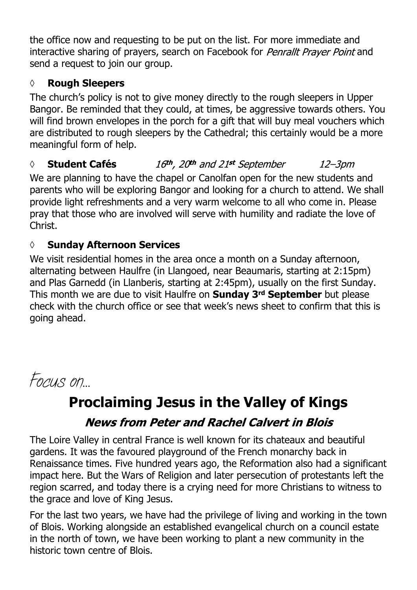the office now and requesting to be put on the list. For more immediate and interactive sharing of prayers, search on Facebook for *Penrallt Prayer Point* and send a request to join our group.

#### **◊ Rough Sleepers**

The church's policy is not to give money directly to the rough sleepers in Upper Bangor. Be reminded that they could, at times, be aggressive towards others. You will find brown envelopes in the porch for a gift that will buy meal vouchers which are distributed to rough sleepers by the Cathedral; this certainly would be a more meaningful form of help.

#### 16th, 20th and 21st September *◊* **Student Cafés**  $12 - 3$ pm

We are planning to have the chapel or Canolfan open for the new students and parents who will be exploring Bangor and looking for a church to attend. We shall provide light refreshments and a very warm welcome to all who come in. Please pray that those who are involved will serve with humility and radiate the love of Christ.

#### **◊ Sunday Afternoon Services**

We visit residential homes in the area once a month on a Sunday afternoon, alternating between Haulfre (in Llangoed, near Beaumaris, starting at 2:15pm) and Plas Garnedd (in Llanberis, starting at 2:45pm), usually on the first Sunday. This month we are due to visit Haulfre on **Sunday 3rd September** but please check with the church office or see that week's news sheet to confirm that this is going ahead.



# **Proclaiming Jesus in the Valley of Kings**

## **News from Peter and Rachel Calvert in Blois**

The Loire Valley in central France is well known for its chateaux and beautiful gardens. It was the favoured playground of the French monarchy back in Renaissance times. Five hundred years ago, the Reformation also had a significant impact here. But the Wars of Religion and later persecution of protestants left the region scarred, and today there is a crying need for more Christians to witness to the grace and love of King Jesus.

For the last two years, we have had the privilege of living and working in the town of Blois. Working alongside an established evangelical church on a council estate in the north of town, we have been working to plant a new community in the historic town centre of Blois.